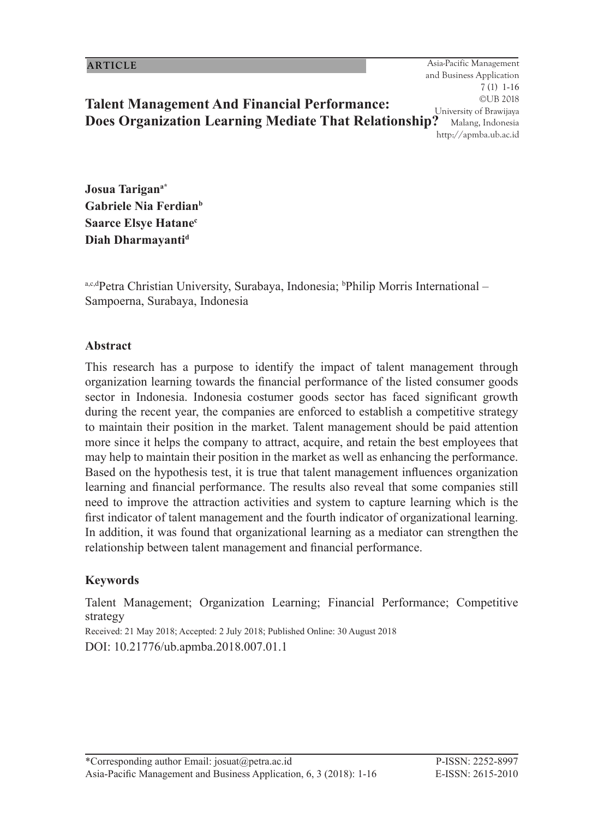1 Asia-Pacific Management and Business Application 7 (1) 1-16 ©UB 2018 University of Brawijaya Malang, Indonesia http://apmba.ub.ac.id **Does Organization Learning Mediate That Relationship?**

**Josua Tarigana\* Gabriele Nia Ferdianb Saarce Elsye Hatanec Diah Dharmayantid**

<sup>a,c,d</sup>Petra Christian University, Surabaya, Indonesia; <sup>b</sup>Philip Morris International – Sampoerna, Surabaya, Indonesia

**Talent Management And Financial Performance:** 

#### **Abstract**

This research has a purpose to identify the impact of talent management through organization learning towards the financial performance of the listed consumer goods sector in Indonesia. Indonesia costumer goods sector has faced significant growth during the recent year, the companies are enforced to establish a competitive strategy to maintain their position in the market. Talent management should be paid attention more since it helps the company to attract, acquire, and retain the best employees that may help to maintain their position in the market as well as enhancing the performance. Based on the hypothesis test, it is true that talent management influences organization learning and financial performance. The results also reveal that some companies still need to improve the attraction activities and system to capture learning which is the first indicator of talent management and the fourth indicator of organizational learning. In addition, it was found that organizational learning as a mediator can strengthen the relationship between talent management and financial performance.

#### **Keywords**

Talent Management; Organization Learning; Financial Performance; Competitive strategy

Received: 21 May 2018; Accepted: 2 July 2018; Published Online: 30 August 2018 DOI: 10.21776/ub.apmba.2018.007.01.1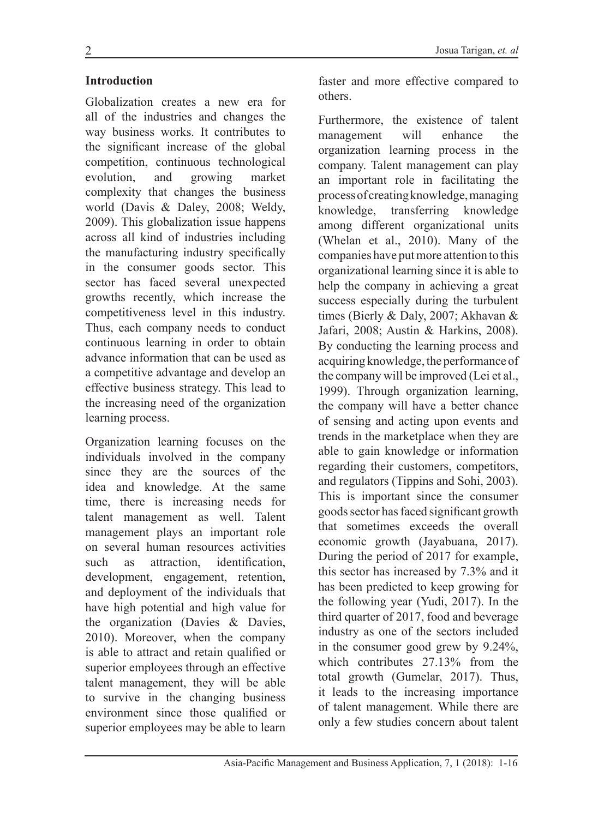#### **Introduction**

Globalization creates a new era for all of the industries and changes the way business works. It contributes to the significant increase of the global competition, continuous technological evolution, and growing market complexity that changes the business world (Davis & Daley, 2008; Weldy, 2009). This globalization issue happens across all kind of industries including the manufacturing industry specifically in the consumer goods sector. This sector has faced several unexpected growths recently, which increase the competitiveness level in this industry. Thus, each company needs to conduct continuous learning in order to obtain advance information that can be used as a competitive advantage and develop an effective business strategy. This lead to the increasing need of the organization learning process.

Organization learning focuses on the individuals involved in the company since they are the sources of the idea and knowledge. At the same time, there is increasing needs for talent management as well. Talent management plays an important role on several human resources activities such as attraction, identification, development, engagement, retention, and deployment of the individuals that have high potential and high value for the organization (Davies & Davies, 2010). Moreover, when the company is able to attract and retain qualified or superior employees through an effective talent management, they will be able to survive in the changing business environment since those qualified or superior employees may be able to learn faster and more effective compared to others.

Furthermore, the existence of talent management will enhance the organization learning process in the company. Talent management can play an important role in facilitating the process of creating knowledge, managing knowledge, transferring knowledge among different organizational units (Whelan et al., 2010). Many of the companies have put more attention to this organizational learning since it is able to help the company in achieving a great success especially during the turbulent times (Bierly & Daly, 2007; Akhavan & Jafari, 2008; Austin & Harkins, 2008). By conducting the learning process and acquiring knowledge, the performance of the company will be improved (Lei et al., 1999). Through organization learning, the company will have a better chance of sensing and acting upon events and trends in the marketplace when they are able to gain knowledge or information regarding their customers, competitors, and regulators (Tippins and Sohi, 2003). This is important since the consumer goods sector has faced significant growth that sometimes exceeds the overall economic growth (Jayabuana, 2017). During the period of 2017 for example, this sector has increased by 7.3% and it has been predicted to keep growing for the following year (Yudi, 2017). In the third quarter of 2017, food and beverage industry as one of the sectors included in the consumer good grew by 9.24%, which contributes 27.13% from the total growth (Gumelar, 2017). Thus, it leads to the increasing importance of talent management. While there are only a few studies concern about talent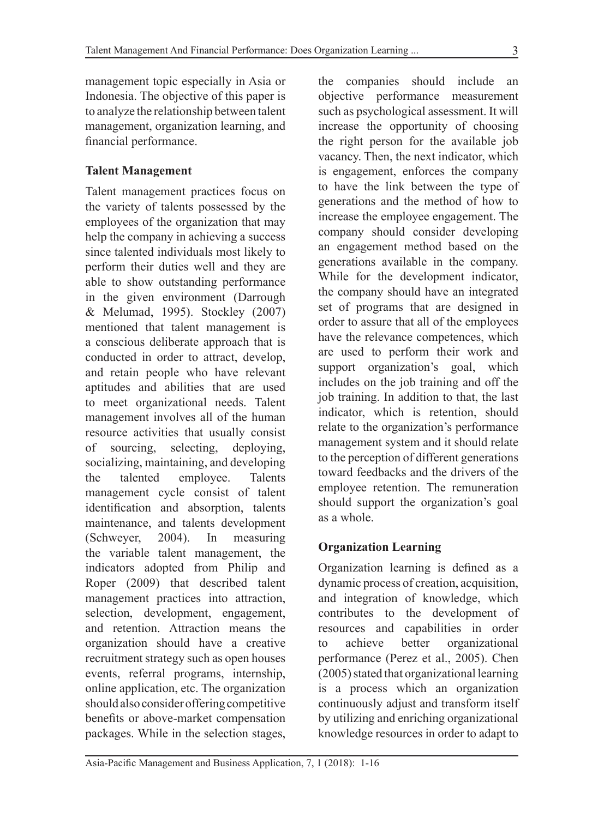management topic especially in Asia or Indonesia. The objective of this paper is to analyze the relationship between talent management, organization learning, and financial performance.

### **Talent Management**

Talent management practices focus on the variety of talents possessed by the employees of the organization that may help the company in achieving a success since talented individuals most likely to perform their duties well and they are able to show outstanding performance in the given environment (Darrough & Melumad, 1995). Stockley (2007) mentioned that talent management is a conscious deliberate approach that is conducted in order to attract, develop, and retain people who have relevant aptitudes and abilities that are used to meet organizational needs. Talent management involves all of the human resource activities that usually consist of sourcing, selecting, deploying, socializing, maintaining, and developing the talented employee. Talents management cycle consist of talent identification and absorption, talents maintenance, and talents development (Schweyer, 2004). In measuring the variable talent management, the indicators adopted from Philip and Roper (2009) that described talent management practices into attraction, selection, development, engagement, and retention. Attraction means the organization should have a creative recruitment strategy such as open houses events, referral programs, internship, online application, etc. The organization should also consider offering competitive benefits or above-market compensation packages. While in the selection stages, the companies should include an objective performance measurement such as psychological assessment. It will increase the opportunity of choosing the right person for the available job vacancy. Then, the next indicator, which is engagement, enforces the company to have the link between the type of generations and the method of how to increase the employee engagement. The company should consider developing an engagement method based on the generations available in the company. While for the development indicator, the company should have an integrated set of programs that are designed in order to assure that all of the employees have the relevance competences, which are used to perform their work and support organization's goal, which includes on the job training and off the job training. In addition to that, the last indicator, which is retention, should relate to the organization's performance management system and it should relate to the perception of different generations toward feedbacks and the drivers of the employee retention. The remuneration should support the organization's goal as a whole.

### **Organization Learning**

Organization learning is defined as a dynamic process of creation, acquisition, and integration of knowledge, which contributes to the development of resources and capabilities in order to achieve better organizational performance (Perez et al., 2005). Chen (2005) stated that organizational learning is a process which an organization continuously adjust and transform itself by utilizing and enriching organizational knowledge resources in order to adapt to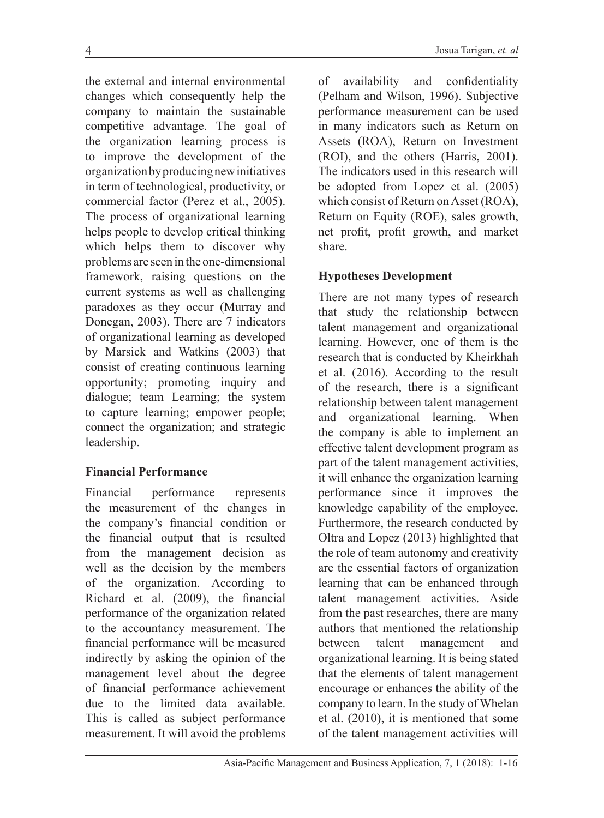the external and internal environmental changes which consequently help the company to maintain the sustainable competitive advantage. The goal of the organization learning process is to improve the development of the organization by producing new initiatives in term of technological, productivity, or commercial factor (Perez et al., 2005). The process of organizational learning helps people to develop critical thinking which helps them to discover why problems are seen in the one-dimensional framework, raising questions on the current systems as well as challenging paradoxes as they occur (Murray and Donegan, 2003). There are 7 indicators of organizational learning as developed by Marsick and Watkins (2003) that consist of creating continuous learning opportunity; promoting inquiry and dialogue; team Learning; the system to capture learning; empower people; connect the organization; and strategic leadership.

### **Financial Performance**

Financial performance represents the measurement of the changes in the company's financial condition or the financial output that is resulted from the management decision as well as the decision by the members of the organization. According to Richard et al. (2009), the financial performance of the organization related to the accountancy measurement. The financial performance will be measured indirectly by asking the opinion of the management level about the degree of financial performance achievement due to the limited data available. This is called as subject performance measurement. It will avoid the problems of availability and confidentiality (Pelham and Wilson, 1996). Subjective performance measurement can be used in many indicators such as Return on Assets (ROA), Return on Investment (ROI), and the others (Harris, 2001). The indicators used in this research will be adopted from Lopez et al. (2005) which consist of Return on Asset (ROA), Return on Equity (ROE), sales growth, net profit, profit growth, and market share.

## **Hypotheses Development**

There are not many types of research that study the relationship between talent management and organizational learning. However, one of them is the research that is conducted by Kheirkhah et al. (2016). According to the result of the research, there is a significant relationship between talent management and organizational learning. When the company is able to implement an effective talent development program as part of the talent management activities, it will enhance the organization learning performance since it improves the knowledge capability of the employee. Furthermore, the research conducted by Oltra and Lopez (2013) highlighted that the role of team autonomy and creativity are the essential factors of organization learning that can be enhanced through talent management activities. Aside from the past researches, there are many authors that mentioned the relationship between talent management and organizational learning. It is being stated that the elements of talent management encourage or enhances the ability of the company to learn. In the study of Whelan et al. (2010), it is mentioned that some of the talent management activities will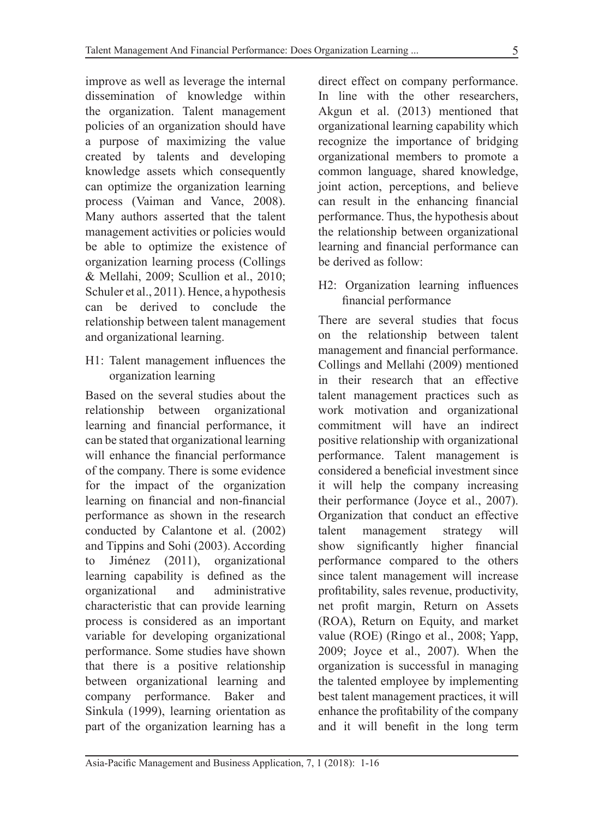improve as well as leverage the internal dissemination of knowledge within the organization. Talent management policies of an organization should have a purpose of maximizing the value created by talents and developing knowledge assets which consequently can optimize the organization learning process (Vaiman and Vance, 2008). Many authors asserted that the talent management activities or policies would be able to optimize the existence of organization learning process (Collings & Mellahi, 2009; Scullion et al., 2010; Schuler et al., 2011). Hence, a hypothesis can be derived to conclude the relationship between talent management and organizational learning.

H1: Talent management influences the organization learning

Based on the several studies about the relationship between organizational learning and financial performance, it can be stated that organizational learning will enhance the financial performance of the company. There is some evidence for the impact of the organization learning on financial and non-financial performance as shown in the research conducted by Calantone et al. (2002) and Tippins and Sohi (2003). According to Jiménez (2011), organizational learning capability is defined as the organizational and administrative characteristic that can provide learning process is considered as an important variable for developing organizational performance. Some studies have shown that there is a positive relationship between organizational learning and company performance. Baker and Sinkula (1999), learning orientation as part of the organization learning has a

direct effect on company performance. In line with the other researchers, Akgun et al. (2013) mentioned that organizational learning capability which recognize the importance of bridging organizational members to promote a common language, shared knowledge, joint action, perceptions, and believe can result in the enhancing financial performance. Thus, the hypothesis about the relationship between organizational learning and financial performance can be derived as follow:

H2: Organization learning influences financial performance

There are several studies that focus on the relationship between talent management and financial performance. Collings and Mellahi (2009) mentioned in their research that an effective talent management practices such as work motivation and organizational commitment will have an indirect positive relationship with organizational performance. Talent management is considered a beneficial investment since it will help the company increasing their performance (Joyce et al., 2007). Organization that conduct an effective talent management strategy will show significantly higher financial performance compared to the others since talent management will increase profitability, sales revenue, productivity, net profit margin, Return on Assets (ROA), Return on Equity, and market value (ROE) (Ringo et al., 2008; Yapp, 2009; Joyce et al., 2007). When the organization is successful in managing the talented employee by implementing best talent management practices, it will enhance the profitability of the company and it will benefit in the long term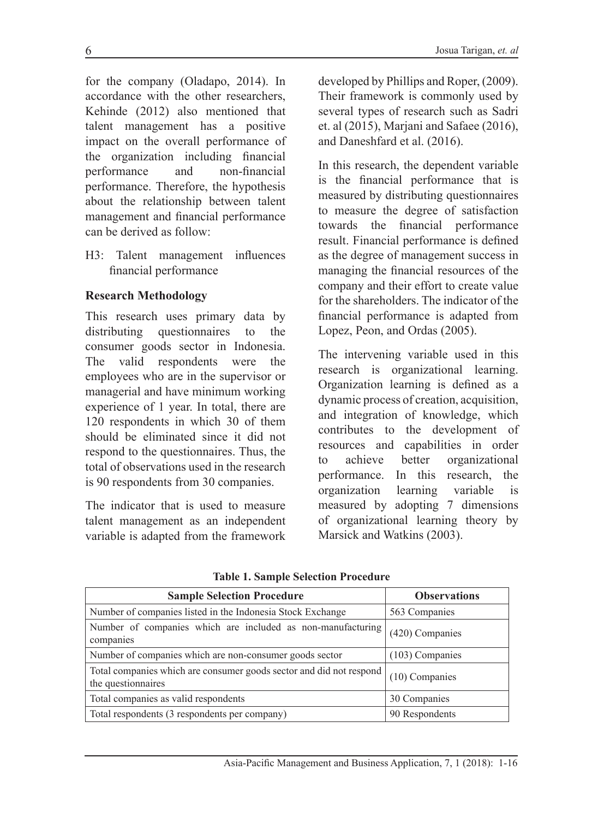for the company (Oladapo, 2014). In accordance with the other researchers, Kehinde (2012) also mentioned that talent management has a positive impact on the overall performance of the organization including financial performance and non-financial performance. Therefore, the hypothesis about the relationship between talent management and financial performance can be derived as follow:

H3: Talent management influences financial performance

### **Research Methodology**

This research uses primary data by distributing questionnaires to the consumer goods sector in Indonesia. The valid respondents were the employees who are in the supervisor or managerial and have minimum working experience of 1 year. In total, there are 120 respondents in which 30 of them should be eliminated since it did not respond to the questionnaires. Thus, the total of observations used in the research is 90 respondents from 30 companies.

The indicator that is used to measure talent management as an independent variable is adapted from the framework developed by Phillips and Roper, (2009). Their framework is commonly used by several types of research such as Sadri et. al (2015), Marjani and Safaee (2016), and Daneshfard et al. (2016).

In this research, the dependent variable is the financial performance that is measured by distributing questionnaires to measure the degree of satisfaction towards the financial performance result. Financial performance is defined as the degree of management success in managing the financial resources of the company and their effort to create value for the shareholders. The indicator of the financial performance is adapted from Lopez, Peon, and Ordas (2005).

The intervening variable used in this research is organizational learning. Organization learning is defined as a dynamic process of creation, acquisition, and integration of knowledge, which contributes to the development of resources and capabilities in order to achieve better organizational performance. In this research, the organization learning variable is measured by adopting 7 dimensions of organizational learning theory by Marsick and Watkins (2003).

| <b>Sample Selection Procedure</b>                                                         | <b>Observations</b> |
|-------------------------------------------------------------------------------------------|---------------------|
| Number of companies listed in the Indonesia Stock Exchange                                | 563 Companies       |
| Number of companies which are included as non-manufacturing<br>companies                  | (420) Companies     |
| Number of companies which are non-consumer goods sector                                   | $(103)$ Companies   |
| Total companies which are consumer goods sector and did not respond<br>the questionnaires | $(10)$ Companies    |
| Total companies as valid respondents                                                      | 30 Companies        |
| Total respondents (3 respondents per company)                                             | 90 Respondents      |

**Table 1. Sample Selection Procedure**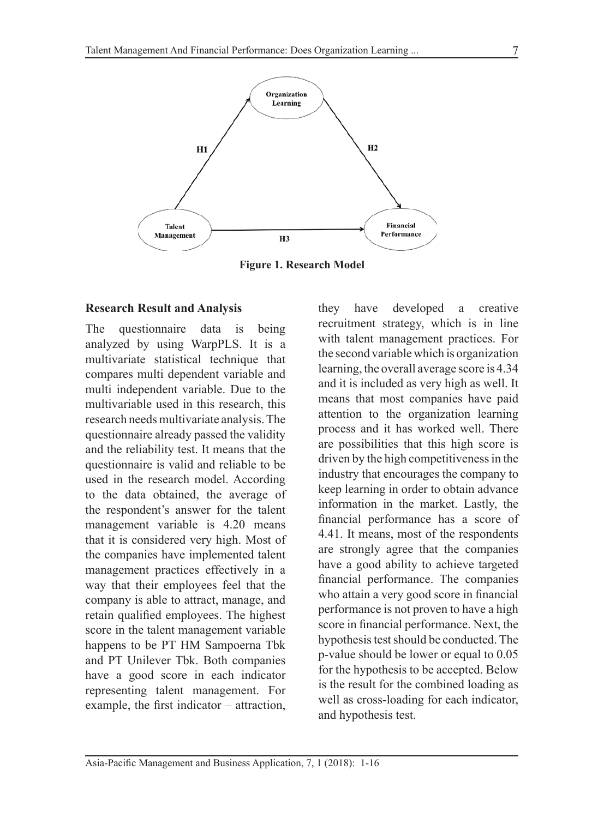

**Figure 1. Research Model**

#### **Research Result and Analysis**

The questionnaire data is being analyzed by using WarpPLS. It is a multivariate statistical technique that compares multi dependent variable and multi independent variable. Due to the multivariable used in this research, this research needs multivariate analysis. The questionnaire already passed the validity and the reliability test. It means that the questionnaire is valid and reliable to be used in the research model. According to the data obtained, the average of the respondent's answer for the talent management variable is 4.20 means that it is considered very high. Most of the companies have implemented talent management practices effectively in a way that their employees feel that the company is able to attract, manage, and retain qualified employees. The highest score in the talent management variable happens to be PT HM Sampoerna Tbk and PT Unilever Tbk. Both companies have a good score in each indicator representing talent management. For example, the first indicator – attraction, they have developed a creative recruitment strategy, which is in line with talent management practices. For the second variable which is organization learning, the overall average score is 4.34 and it is included as very high as well. It means that most companies have paid attention to the organization learning process and it has worked well. There are possibilities that this high score is driven by the high competitiveness in the industry that encourages the company to keep learning in order to obtain advance information in the market. Lastly, the financial performance has a score of 4.41. It means, most of the respondents are strongly agree that the companies have a good ability to achieve targeted financial performance. The companies who attain a very good score in financial performance is not proven to have a high score in financial performance. Next, the hypothesis test should be conducted. The p-value should be lower or equal to 0.05 for the hypothesis to be accepted. Below is the result for the combined loading as well as cross-loading for each indicator, and hypothesis test.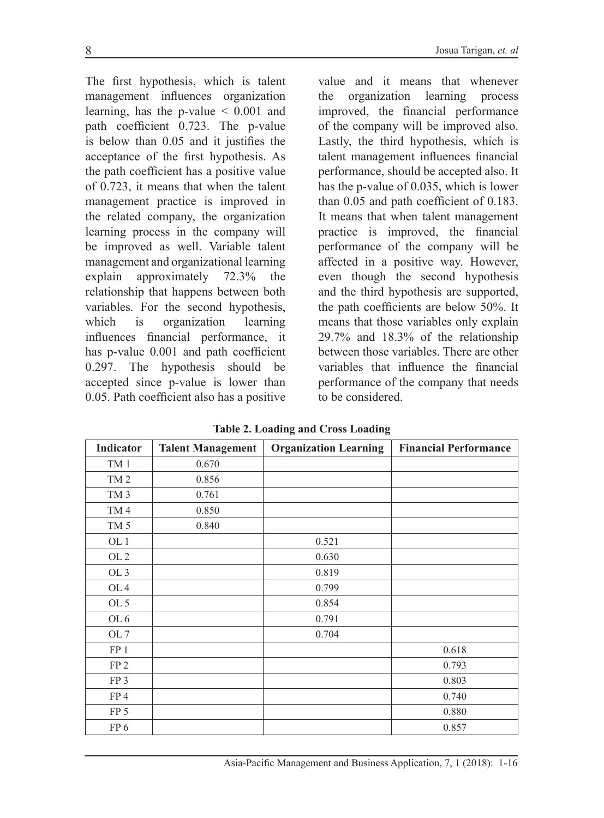The first hypothesis, which is talent management influences organization learning, has the p-value  $\leq 0.001$  and path coefficient 0.723. The p-value is below than 0.05 and it justifies the acceptance of the first hypothesis. As the path coefficient has a positive value of 0.723, it means that when the talent management practice is improved in the related company, the organization learning process in the company will be improved as well. Variable talent management and organizational learning explain approximately 72.3% the relationship that happens between both variables. For the second hypothesis, which is organization learning influences financial performance, it has p-value 0.001 and path coefficient 0.297. The hypothesis should be accepted since p-value is lower than 0.05. Path coefficient also has a positive

value and it means that whenever the organization learning process improved, the financial performance of the company will be improved also. Lastly, the third hypothesis, which is talent management influences financial performance, should be accepted also. It has the p-value of 0.035, which is lower than 0.05 and path coefficient of 0.183. It means that when talent management practice is improved, the financial performance of the company will be affected in a positive way. However, even though the second hypothesis and the third hypothesis are supported, the path coefficients are below 50%. It means that those variables only explain 29.7% and 18.3% of the relationship between those variables. There are other variables that influence the financial performance of the company that needs to be considered.

| Indicator       | <b>Talent Management</b> | <b>Organization Learning</b> | <b>Financial Performance</b> |  |
|-----------------|--------------------------|------------------------------|------------------------------|--|
| TM 1            | 0.670                    |                              |                              |  |
| TM <sub>2</sub> | 0.856                    |                              |                              |  |
| TM <sub>3</sub> | 0.761                    |                              |                              |  |
| TM4             | 0.850                    |                              |                              |  |
| TM <sub>5</sub> | 0.840                    |                              |                              |  |
| OL <sub>1</sub> |                          | 0.521                        |                              |  |
| OL <sub>2</sub> |                          | 0.630                        |                              |  |
| OL <sub>3</sub> |                          | 0.819                        |                              |  |
| OL <sub>4</sub> |                          | 0.799                        |                              |  |
| OL 5            |                          | 0.854                        |                              |  |
| OL <sub>6</sub> |                          | 0.791                        |                              |  |
| OL <sub>7</sub> |                          | 0.704                        |                              |  |
| FP 1            |                          |                              | 0.618                        |  |
| FP <sub>2</sub> |                          |                              | 0.793                        |  |
| FP <sub>3</sub> |                          |                              | 0.803                        |  |
| FP4             |                          |                              | 0.740                        |  |
| FP <sub>5</sub> |                          |                              | 0.880                        |  |
| FP <sub>6</sub> |                          |                              | 0.857                        |  |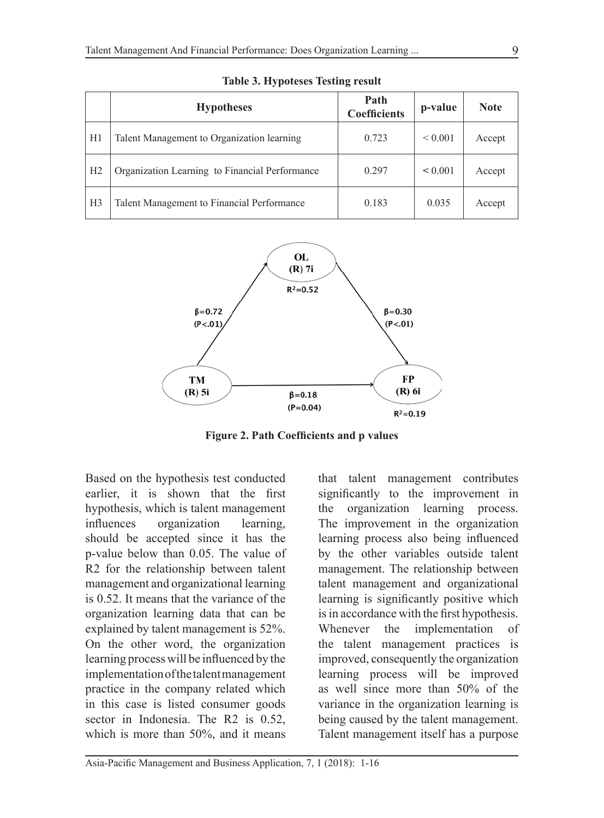|                | <b>Hypotheses</b>                              | Path<br><b>Coefficients</b> | p-value      | <b>Note</b> |
|----------------|------------------------------------------------|-----------------------------|--------------|-------------|
| H1             | Talent Management to Organization learning     | 0.723                       | ${}_{0.001}$ | Accept      |
| H <sub>2</sub> | Organization Learning to Financial Performance | 0.297                       | $\leq 0.001$ | Accept      |
| H <sub>3</sub> | Talent Management to Financial Performance     | 0.183                       | 0.035        | Accept      |

**Table 3. Hypoteses Testing result**



**Figure 2. Path Coefficients and p values**

Based on the hypothesis test conducted earlier, it is shown that the first hypothesis, which is talent management influences organization learning, should be accepted since it has the p-value below than 0.05. The value of R2 for the relationship between talent management and organizational learning is 0.52. It means that the variance of the organization learning data that can be explained by talent management is 52%. On the other word, the organization learning process will be influenced by the implementation of the talent management practice in the company related which in this case is listed consumer goods sector in Indonesia. The R2 is 0.52, which is more than 50%, and it means

that talent management contributes significantly to the improvement in the organization learning process. The improvement in the organization learning process also being influenced by the other variables outside talent management. The relationship between talent management and organizational learning is significantly positive which is in accordance with the first hypothesis. Whenever the implementation of the talent management practices is improved, consequently the organization learning process will be improved as well since more than 50% of the variance in the organization learning is being caused by the talent management. Talent management itself has a purpose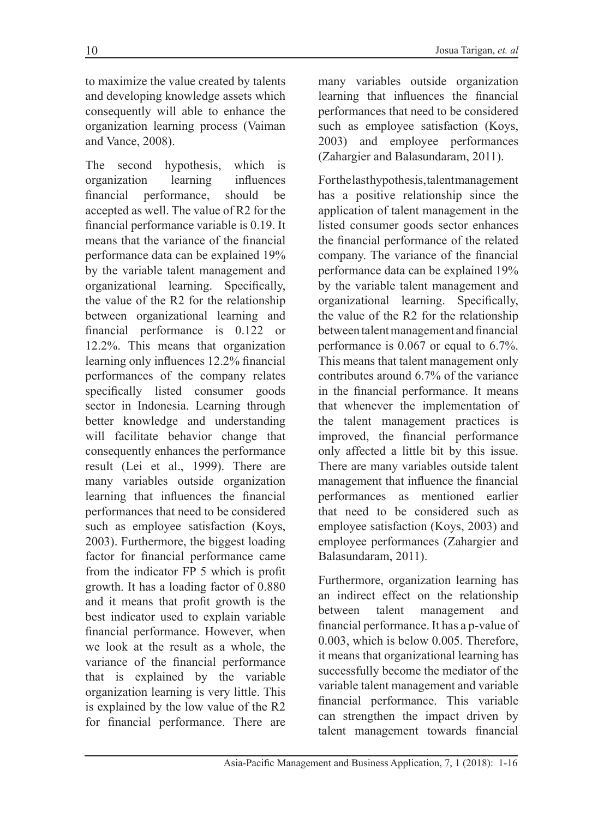to maximize the value created by talents and developing knowledge assets which consequently will able to enhance the organization learning process (Vaiman and Vance, 2008).

The second hypothesis, which is organization learning influences financial performance, should be accepted as well. The value of R2 for the financial performance variable is 0.19. It means that the variance of the financial performance data can be explained 19% by the variable talent management and organizational learning. Specifically, the value of the R2 for the relationship between organizational learning and financial performance is 0.122 or 12.2%. This means that organization learning only influences 12.2% financial performances of the company relates specifically listed consumer goods sector in Indonesia. Learning through better knowledge and understanding will facilitate behavior change that consequently enhances the performance result (Lei et al., 1999). There are many variables outside organization learning that influences the financial performances that need to be considered such as employee satisfaction (Koys, 2003). Furthermore, the biggest loading factor for financial performance came from the indicator FP 5 which is profit growth. It has a loading factor of 0.880 and it means that profit growth is the best indicator used to explain variable financial performance. However, when we look at the result as a whole, the variance of the financial performance that is explained by the variable organization learning is very little. This is explained by the low value of the R2 for financial performance. There are many variables outside organization learning that influences the financial performances that need to be considered such as employee satisfaction (Koys, 2003) and employee performances (Zahargier and Balasundaram, 2011).

For the last hypothesis, talent management has a positive relationship since the application of talent management in the listed consumer goods sector enhances the financial performance of the related company. The variance of the financial performance data can be explained 19% by the variable talent management and organizational learning. Specifically, the value of the R2 for the relationship between talent management and financial performance is 0.067 or equal to 6.7%. This means that talent management only contributes around 6.7% of the variance in the financial performance. It means that whenever the implementation of the talent management practices is improved, the financial performance only affected a little bit by this issue. There are many variables outside talent management that influence the financial performances as mentioned earlier that need to be considered such as employee satisfaction (Koys, 2003) and employee performances (Zahargier and Balasundaram, 2011).

Furthermore, organization learning has an indirect effect on the relationship between talent management and financial performance. It has a p-value of 0.003, which is below 0.005. Therefore, it means that organizational learning has successfully become the mediator of the variable talent management and variable financial performance. This variable can strengthen the impact driven by talent management towards financial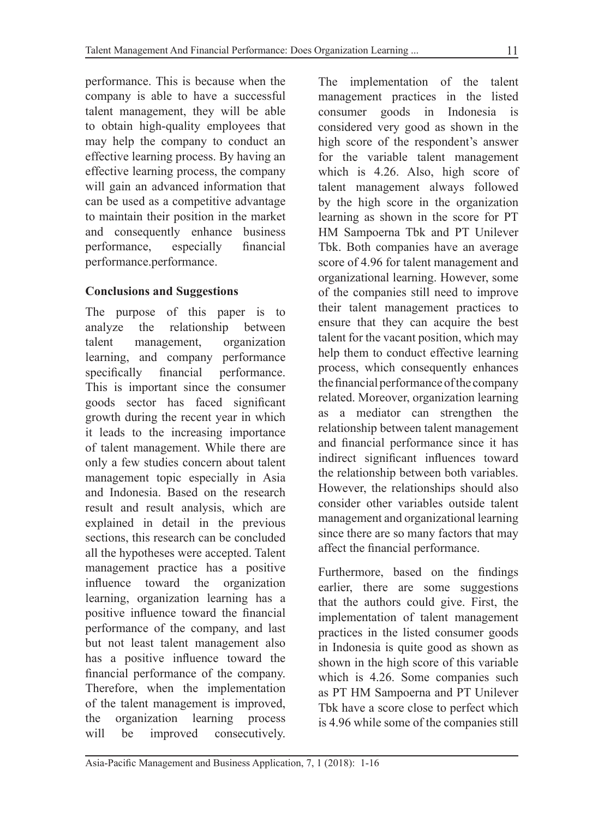performance. This is because when the company is able to have a successful talent management, they will be able to obtain high-quality employees that may help the company to conduct an effective learning process. By having an effective learning process, the company will gain an advanced information that can be used as a competitive advantage to maintain their position in the market and consequently enhance business performance, especially financial performance.performance.

## **Conclusions and Suggestions**

The purpose of this paper is to analyze the relationship between talent management, organization learning, and company performance specifically financial performance. This is important since the consumer goods sector has faced significant growth during the recent year in which it leads to the increasing importance of talent management. While there are only a few studies concern about talent management topic especially in Asia and Indonesia. Based on the research result and result analysis, which are explained in detail in the previous sections, this research can be concluded all the hypotheses were accepted. Talent management practice has a positive influence toward the organization learning, organization learning has a positive influence toward the financial performance of the company, and last but not least talent management also has a positive influence toward the financial performance of the company. Therefore, when the implementation of the talent management is improved, the organization learning process will be improved consecutively.

The implementation of the talent management practices in the listed consumer goods in Indonesia considered very good as shown in the high score of the respondent's answer for the variable talent management which is 4.26. Also, high score of talent management always followed by the high score in the organization learning as shown in the score for PT HM Sampoerna Tbk and PT Unilever Tbk. Both companies have an average score of 4.96 for talent management and organizational learning. However, some of the companies still need to improve their talent management practices to ensure that they can acquire the best talent for the vacant position, which may help them to conduct effective learning process, which consequently enhances the financial performance of the company related. Moreover, organization learning as a mediator can strengthen the relationship between talent management and financial performance since it has indirect significant influences toward the relationship between both variables. However, the relationships should also consider other variables outside talent management and organizational learning since there are so many factors that may affect the financial performance.

Furthermore, based on the findings earlier, there are some suggestions that the authors could give. First, the implementation of talent management practices in the listed consumer goods in Indonesia is quite good as shown as shown in the high score of this variable which is 4.26. Some companies such as PT HM Sampoerna and PT Unilever Tbk have a score close to perfect which is 4.96 while some of the companies still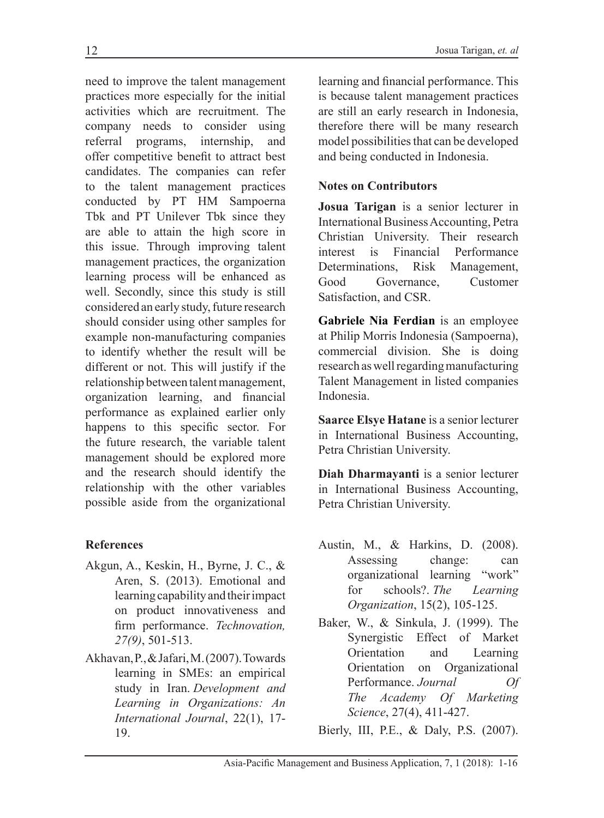need to improve the talent management practices more especially for the initial activities which are recruitment. The company needs to consider using referral programs, internship, and offer competitive benefit to attract best candidates. The companies can refer to the talent management practices conducted by PT HM Sampoerna Tbk and PT Unilever Tbk since they are able to attain the high score in this issue. Through improving talent management practices, the organization learning process will be enhanced as well. Secondly, since this study is still considered an early study, future research should consider using other samples for example non-manufacturing companies to identify whether the result will be different or not. This will justify if the relationship between talent management, organization learning, and financial performance as explained earlier only happens to this specific sector. For the future research, the variable talent management should be explored more and the research should identify the relationship with the other variables possible aside from the organizational

# **References**

- Akgun, A., Keskin, H., Byrne, J. C., & Aren, S. (2013). Emotional and learning capability and their impact on product innovativeness and firm performance. *Technovation, 27(9)*, 501-513.
- Akhavan, P., & Jafari, M. (2007). Towards learning in SMEs: an empirical study in Iran. *Development and Learning in Organizations: An International Journal*, 22(1), 17- 19.

learning and financial performance. This is because talent management practices are still an early research in Indonesia, therefore there will be many research model possibilities that can be developed and being conducted in Indonesia.

## **Notes on Contributors**

**Josua Tarigan** is a senior lecturer in International Business Accounting, Petra Christian University. Their research interest is Financial Performance Determinations, Risk Management, Good Governance, Customer Satisfaction, and CSR.

**Gabriele Nia Ferdian** is an employee at Philip Morris Indonesia (Sampoerna), commercial division. She is doing research as well regarding manufacturing Talent Management in listed companies Indonesia.

**Saarce Elsye Hatane** is a senior lecturer in International Business Accounting, Petra Christian University.

**Diah Dharmayanti** is a senior lecturer in International Business Accounting, Petra Christian University.

- Austin, M., & Harkins, D. (2008). Assessing change: can organizational learning "work" for schools?. *The Learning Organization*, 15(2), 105-125.
- Baker, W., & Sinkula, J. (1999). The Synergistic Effect of Market Orientation and Learning Orientation on Organizational Performance. *Journal Of The Academy Of Marketing Science*, 27(4), 411-427.

Bierly, III, P.E., & Daly, P.S. (2007).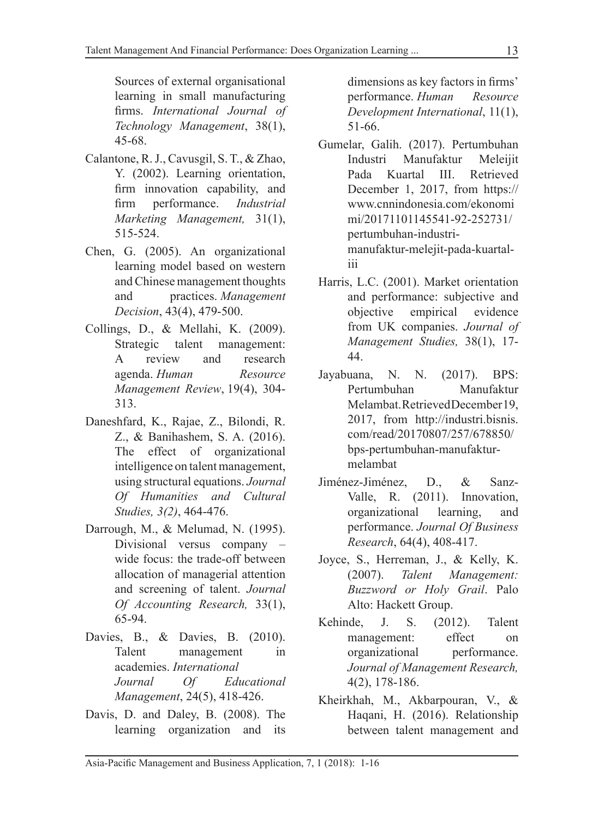Sources of external organisational learning in small manufacturing firms. *International Journal of Technology Management*, 38(1), 45-68.

- Calantone, R. J., Cavusgil, S. T., & Zhao, Y. (2002). Learning orientation, firm innovation capability, and firm performance. *Industrial Marketing Management,* 31(1), 515-524.
- Chen, G. (2005). An organizational learning model based on western and Chinese management thoughts and practices. *Management Decision*, 43(4), 479-500.
- Collings, D., & Mellahi, K. (2009). Strategic talent management: A review and research agenda. *Human Resource Management Review*, 19(4), 304- 313.
- Daneshfard, K., Rajae, Z., Bilondi, R. Z., & Banihashem, S. A. (2016). The effect of organizational intelligence on talent management, using structural equations. *Journal Of Humanities and Cultural Studies, 3(2)*, 464-476.
- Darrough, M., & Melumad, N. (1995). Divisional versus company – wide focus: the trade-off between allocation of managerial attention and screening of talent. *Journal Of Accounting Research,* 33(1), 65-94.
- Davies, B., & Davies, B. (2010). Talent management in academies. *International Journal Of Educational Management*, 24(5), 418-426.
- Davis, D. and Daley, B. (2008). The learning organization and its

dimensions as key factors in firms' performance. *Human Resource Development International*, 11(1), 51-66.

- Gumelar, Galih. (2017). Pertumbuhan Industri Manufaktur Meleijit Pada Kuartal III. Retrieved December 1, 2017, from https:// www.cnnindonesia.com/ekonomi mi/20171101145541-92-252731/ pertumbuhan-industrimanufaktur-melejit-pada-kuartaliii
- Harris, L.C. (2001). Market orientation and performance: subjective and objective empirical evidence from UK companies. *Journal of Management Studies,* 38(1), 17- 44.
- Jayabuana, N. N. (2017). BPS: Pertumbuhan Manufaktur Melambat. Retrieved December 19, 2017, from http://industri.bisnis. com/read/20170807/257/678850/ bps-pertumbuhan-manufakturmelambat
- Jiménez-Jiménez, D., & Sanz-Valle, R. (2011). Innovation, organizational learning, and performance. *Journal Of Business Research*, 64(4), 408-417.
- Joyce, S., Herreman, J., & Kelly, K. (2007). *Talent Management: Buzzword or Holy Grail*. Palo Alto: Hackett Group.
- Kehinde, J. S. (2012). Talent management: effect on organizational performance. *Journal of Management Research,*  4(2), 178-186.
- Kheirkhah, M., Akbarpouran, V., & Haqani, H. (2016). Relationship between talent management and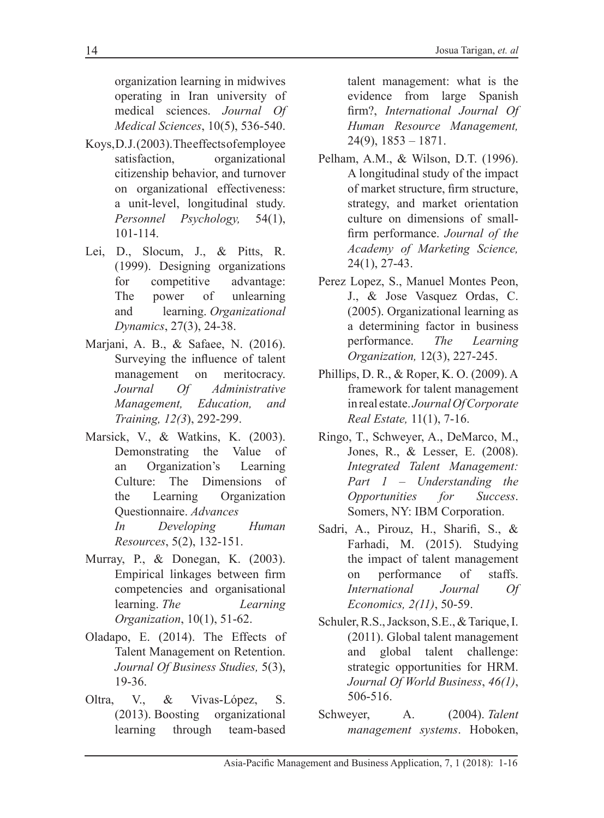organization learning in midwives operating in Iran university of medical sciences. *Journal Of Medical Sciences*, 10(5), 536-540.

- Koys, D.J. (2003). The effects of employee satisfaction, organizational citizenship behavior, and turnover on organizational effectiveness: a unit-level, longitudinal study. *Personnel Psychology,* 54(1), 101-114.
- Lei, D., Slocum, J., & Pitts, R. (1999). Designing organizations for competitive advantage: The power of unlearning and learning. *Organizational Dynamics*, 27(3), 24-38.
- Marjani, A. B., & Safaee, N. (2016). Surveying the influence of talent management on meritocracy. *Journal Of Administrative Management, Education, and Training, 12(3*), 292-299.
- Marsick, V., & Watkins, K. (2003). Demonstrating the Value of an Organization's Learning Culture: The Dimensions of the Learning Organization Questionnaire. *Advances In Developing Human Resources*, 5(2), 132-151.
- Murray, P., & Donegan, K. (2003). Empirical linkages between firm competencies and organisational learning. *The Learning Organization*, 10(1), 51-62.
- Oladapo, E. (2014). The Effects of Talent Management on Retention. *Journal Of Business Studies,* 5(3), 19-36.
- Oltra, V., & Vivas-López, S. (2013). Boosting organizational learning through team-based

talent management: what is the evidence from large Spanish firm?, *International Journal Of Human Resource Management,*   $24(9)$ ,  $1853 - 1871$ .

- Pelham, A.M., & Wilson, D.T. (1996). A longitudinal study of the impact of market structure, firm structure, strategy, and market orientation culture on dimensions of smallfirm performance. *Journal of the Academy of Marketing Science,*  24(1), 27-43.
- Perez Lopez, S., Manuel Montes Peon, J., & Jose Vasquez Ordas, C. (2005). Organizational learning as a determining factor in business performance. *The Learning Organization,* 12(3), 227-245.
- Phillips, D. R., & Roper, K. O. (2009). A framework for talent management in real estate. *Journal Of Corporate Real Estate,* 11(1), 7-16.
- Ringo, T., Schweyer, A., DeMarco, M., Jones, R., & Lesser, E. (2008). *Integrated Talent Management: Part 1 – Understanding the Opportunities for Success*. Somers, NY: IBM Corporation.
- Sadri, A., Pirouz, H., Sharifi, S., & Farhadi, M. (2015). Studying the impact of talent management on performance of staffs. *International Journal Of Economics, 2(11)*, 50-59.
- Schuler, R.S., Jackson, S.E., & Tarique, I. (2011). Global talent management and global talent challenge: strategic opportunities for HRM. *Journal Of World Business*, *46(1)*, 506-516.
- Schweyer, A. (2004). *Talent management systems*. Hoboken,